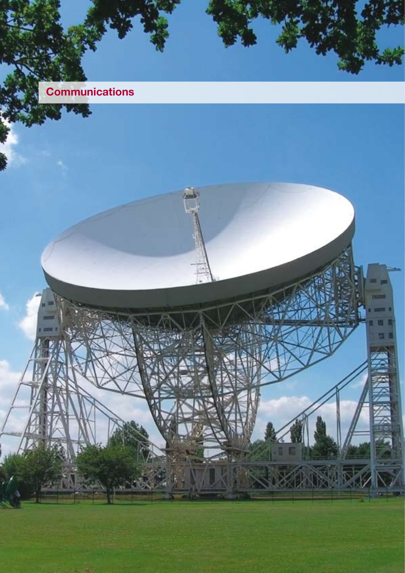# **Communications**

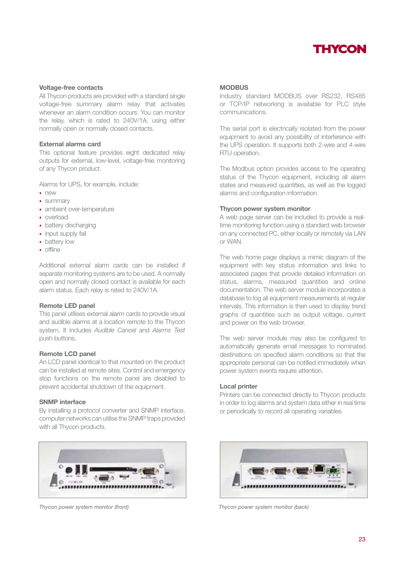

## **Voltage-free contacts**

All Thycon products are provided with a standard single voltage-free summary alarm relay that activates whenever an alarm condition occurs. You can monitor the relay, which is rated to 240V/1A, using either normally open or normally closed contacts.

### **External alarms card**

This optional feature provides eight dedicated relay outputs for external, low-level, voltage-free monitoring of any Thycon product.

Alarms for UPS, for example, include:

- new
- summary
- ambient over-temperature
- overload
- battery discharging
- input supply fail
- battery low
- offline

Additional external alarm cards can be installed if separate monitoring systems are to be used. A normally open and normally closed contact is available for each alarm status. Each relay is rated to 240V/1A.

#### **Remote LED panel**

This panel utilises external alarm cards to provide visual and audible alarms at a location remote to the Thycon system. It includes *Audible Cancel* and *Alarms Test*  push buttons.

## **Remote LCD panel**

An LCD panel identical to that mounted on the product can be installed at remote sites. Control and emergency stop functions on the remote panel are disabled to prevent accidental shutdown of the equipment.

#### **SNMP interface**

By installing a protocol converter and SNMP interface, computer networks can utilise the SNMP traps provided with all Thycon products.



### **MODBUS**

Industry standard MODBUS over RS232, RS485 or TCP/IP networking is available for PLC style communications.

The serial port is electrically isolated from the power equipment to avoid any possibility of interference with the UPS operation. It supports both 2-wire and 4-wire RTU operation.

The Modbus option provides access to the operating status of the Thycon equipment, including all alarm states and measured quantities, as well as the logged alarms and configuration information.

#### **Thycon power system monitor**

A web page server can be included to provide a realtime monitoring function using a standard web browser on any connected PC, either locally or remotely via LAN or WAN.

The web home page displays a mimic diagram of the equipment with key status information and links to associated pages that provide detailed information on status, alarms, measured quantities and online documentation. The web server module incorporates a database to log all equipment measurements at regular intervals. This information is then used to display trend graphs of quantities such as output voltage, current and power on the web browser.

The web server module may also be configured to automatically generate email messages to nominated destinations on specified alarm conditions so that the appropriate personal can be notified immediately when power system events require attention.

### **Local printer**

Printers can be connected directly to Thycon products in order to log alarms and system data either in real time or periodically to record all operating variables.



*Thycon power system monitor (front) Thycon power system monitor (back)*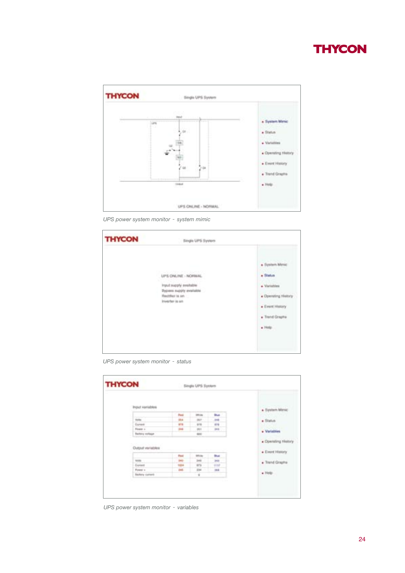# **THYCON**



*UPS power system monitor* - *system mimic*

| <b>THYCON</b> | <b>Single UPS System</b>                                                                                         |                                                                                                                |  |
|---------------|------------------------------------------------------------------------------------------------------------------|----------------------------------------------------------------------------------------------------------------|--|
|               | UPS ONLINE - NORMAL<br>Imput supply available.<br>Bypass supply available<br>Hextifier is an<br>triverter is sin | * System Mimic<br>. Status<br>· Vantables<br>. Operating History<br>· Event History<br>. Transf Graphs<br>. We |  |

*UPS power system monitor* - *status*

| Input Variables  |                        |             |               |             | * System Mimic                         |
|------------------|------------------------|-------------|---------------|-------------|----------------------------------------|
|                  |                        | Post        | <b>IRRUNS</b> | <b>Bus</b>  |                                        |
|                  | ticks                  | 19.4        | 201           | <b>Job</b>  | . Status                               |
|                  | Eurest                 | <b>ATTS</b> | tra           | 474         |                                        |
|                  | Fower 1-               | pas.        | $m +$         | 1014        | · Vistables                            |
|                  | <b>Barbina voltage</b> |             | 400           |             |                                        |
| Dutput variables |                        |             |               |             | . Operating History<br>· Event History |
|                  |                        | Post        | <b>SIRLAK</b> | <b>But</b>  |                                        |
|                  | teras                  | $141 -$     | $3+8$         | 141         | . Transf Graphs                        |
|                  | Daniel                 | 1624        | 979           | <b>TESP</b> |                                        |
|                  | Flower v.              | $-201$      | 334           | 19.9        |                                        |
|                  | Baltery cannot         |             | $\,$ 11       |             | $.$ Help:                              |
|                  |                        |             |               |             |                                        |

*UPS power system monitor* - *variables*